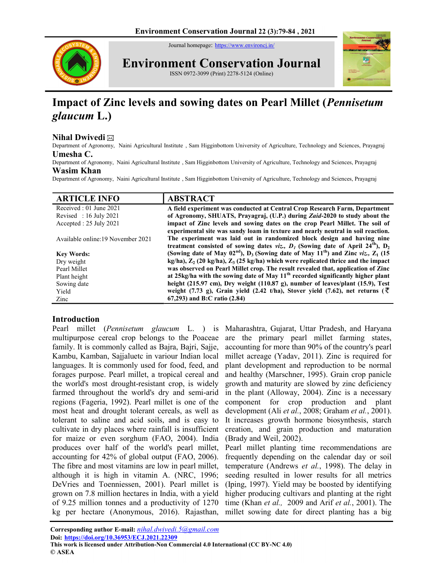Journal homepage: https://www.environcj.in/



Environment Conservation Journal





# Impact of Zinc levels and sowing dates on Pearl Millet (Pennisetum glaucum L.)

# Nihal Dwivedi $\boxtimes$

Department of Agronomy, Naini Agricultural Institute , Sam Higginbottom University of Agriculture, Technology and Sciences, Prayagraj Umesha C.

Department of Agronomy, Naini Agricultural Institute , Sam Higginbottom University of Agriculture, Technology and Sciences, Prayagraj

#### Wasim Khan

Department of Agronomy, Naini Agricultural Institute , Sam Higginbottom University of Agriculture, Technology and Sciences, Prayagraj

| <b>ARTICLE INFO</b>                | <b>ABSTRACT</b>                                                                                                                                            |
|------------------------------------|------------------------------------------------------------------------------------------------------------------------------------------------------------|
| Received : 01 June 2021            | A field experiment was conducted at Central Crop Research Farm, Department                                                                                 |
| Revised : $16$ July 2021           | of Agronomy, SHUATS, Prayagraj, (U.P.) during Zaid-2020 to study about the                                                                                 |
| Accepted : 25 July 2021            | impact of Zinc levels and sowing dates on the crop Pearl Millet. The soil of                                                                               |
| Available online: 19 November 2021 | experimental site was sandy loam in texture and nearly neutral in soil reaction.<br>The experiment was laid out in randomized block design and having nine |
|                                    | treatment consisted of sowing dates viz, $D_1$ (Sowing date of April 24 <sup>th</sup> ), $D_2$                                                             |
| <b>Key Words:</b>                  | (Sowing date of May 02 <sup>nd</sup> ), $D_3$ (Sowing date of May 11 <sup>th</sup> ) and Zinc viz, $Z_1$ (15                                               |
| Dry weight                         | $kg/ha$ , $Z_2$ (20 kg/ha), $Z_3$ (25 kg/ha) which were replicated thrice and the impact                                                                   |
| Pearl Millet                       | was observed on Pearl Millet crop. The result revealed that, application of Zinc                                                                           |
| Plant height                       | at 25kg/ha with the sowing date of May 11 <sup>th</sup> recorded significantly higher plant                                                                |
| Sowing date                        | height (215.97 cm), Dry weight (110.87 g), number of leaves/plant (15.9), Test                                                                             |
| Yield                              | weight (7.73 g), Grain yield (2.42 t/ha), Stover yield (7.62), net returns ( $\bar{\zeta}$                                                                 |
| Zinc                               | 67,293) and B:C ratio (2.84)                                                                                                                               |

# Introduction

Pearl millet (Pennisetum glaucum L. ) is multipurpose cereal crop belongs to the Poaceae family. It is commonly called as Bajra, Bajri, Sajje, Kambu, Kamban, Sajjaluetc in variour Indian local languages. It is commonly used for food, feed, and forages purpose. Pearl millet, a tropical cereal and the world's most drought-resistant crop, is widely farmed throughout the world's dry and semi-arid regions (Fageria, 1992). Pearl millet is one of the most heat and drought tolerant cereals, as well as tolerant to saline and acid soils, and is easy to cultivate in dry places where rainfall is insufficient for maize or even sorghum (FAO, 2004). India produces over half of the world's pearl millet, accounting for 42% of global output (FAO, 2006). The fibre and most vitamins are low in pearl millet, although it is high in vitamin A. (NRC, 1996; DeVries and Toenniessen, 2001). Pearl millet is grown on 7.8 million hectares in India, with a yield of 9.25 million tonnes and a productivity of 1270 kg per hectare (Anonymous, 2016). Rajasthan,

Maharashtra, Gujarat, Uttar Pradesh, and Haryana are the primary pearl millet farming states, accounting for more than 90% of the country's pearl millet acreage (Yadav, 2011). Zinc is required for plant development and reproduction to be normal and healthy (Marschner, 1995). Grain crop panicle growth and maturity are slowed by zinc deficiency in the plant (Alloway, 2004). Zinc is a necessary component for crop production and plant development (Ali et al., 2008; Graham et al., 2001). It increases growth hormone biosynthesis, starch creation, and grain production and maturation (Brady and Weil, 2002).

Pearl millet planting time recommendations are frequently depending on the calendar day or soil temperature (Andrews et al., 1998). The delay in seeding resulted in lower results for all metrics (Iping, 1997). Yield may be boosted by identifying higher producing cultivars and planting at the right time (Khan et al., 2009 and Arif et al., 2001). The millet sowing date for direct planting has a big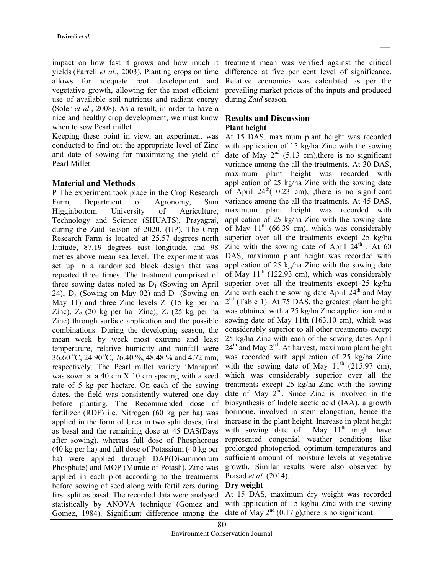yields (Farrell et al., 2003). Planting crops on time allows for adequate root development and vegetative growth, allowing for the most efficient use of available soil nutrients and radiant energy (Soler et al., 2008). As a result, in order to have a nice and healthy crop development, we must know when to sow Pearl millet.

Keeping these point in view, an experiment was conducted to find out the appropriate level of Zinc and date of sowing for maximizing the yield of Pearl Millet.

#### Material and Methods

P The experiment took place in the Crop Research Farm, Department of Agronomy, Sam Higginbottom University of Agriculture, Technology and Science (SHUATS), Prayagraj, during the Zaid season of 2020. (UP). The Crop Research Farm is located at 25.57 degrees north latitude, 87.19 degrees east longitude, and 98 metres above mean sea level. The experiment was set up in a randomised block design that was repeated three times. The treatment comprised of three sowing dates noted as  $D_1$  (Sowing on April 24),  $D_2$  (Sowing on May 02) and  $D_3$  (Sowing on May 11) and three Zinc levels  $Z_1$  (15 kg per ha Zinc),  $Z_2$  (20 kg per ha Zinc),  $Z_3$  (25 kg per ha Zinc) through surface application and the possible combinations. During the developing season, the mean week by week most extreme and least temperature, relative humidity and rainfall were 36.60 °C, 24.90 °C, 76.40 %, 48.48 % and 4.72 mm, respectively. The Pearl millet variety 'Manipuri' was sown at a 40 cm X 10 cm spacing with a seed rate of 5 kg per hectare. On each of the sowing dates, the field was consistently watered one day before planting. The Recommended dose of fertilizer (RDF) i.e. Nitrogen (60 kg per ha) was applied in the form of Urea in two split doses, first as basal and the remaining dose at 45 DAS(Days after sowing), whereas full dose of Phosphorous (40 kg per ha) and full dose of Potassium (40 kg per ha) were applied through DAP(Di-ammonium Phosphate) and MOP (Murate of Potash). Zinc was applied in each plot according to the treatments before sowing of seed along with fertilizers during first split as basal. The recorded data were analysed statistically by ANOVA technique (Gomez and Gomez, 1984). Significant difference among the

impact on how fast it grows and how much it treatment mean was verified against the critical difference at five per cent level of significance. Relative economics was calculated as per the prevailing market prices of the inputs and produced during Zaid season.

# Results and Discussion Plant height

At 15 DAS, maximum plant height was recorded with application of 15 kg/ha Zinc with the sowing date of May  $2<sup>nd</sup>$  (5.13 cm), there is no significant variance among the all the treatments. At 30 DAS, maximum plant height was recorded with application of 25 kg/ha Zinc with the sowing date of April  $24<sup>th</sup>(10.23 cm)$ , there is no significant variance among the all the treatments. At 45 DAS, maximum plant height was recorded with application of 25 kg/ha Zinc with the sowing date of May  $11<sup>th</sup>$  (66.39 cm), which was considerably superior over all the treatments except 25 kg/ha Zinc with the sowing date of April  $24<sup>th</sup>$ . At 60 DAS, maximum plant height was recorded with application of 25 kg/ha Zinc with the sowing date of May  $11<sup>th</sup>$  (122.93 cm), which was considerably superior over all the treatments except 25 kg/ha Zinc with each the sowing date April  $24<sup>th</sup>$  and May 2<sup>nd</sup> (Table 1). At 75 DAS, the greatest plant height was obtained with a 25 kg/ha Zinc application and a sowing date of May 11th (163.10 cm), which was considerably superior to all other treatments except 25 kg/ha Zinc with each of the sowing dates April  $24<sup>th</sup>$  and May  $2<sup>nd</sup>$ . At harvest, maximum plant height was recorded with application of 25 kg/ha Zinc with the sowing date of May  $11<sup>th</sup>$  (215.97 cm), which was considerably superior over all the treatments except 25 kg/ha Zinc with the sowing date of May  $2^{\text{nd}}$ . Since Zinc is involved in the biosynthesis of Indole acetic acid (IAA), a growth hormone, involved in stem elongation, hence the increase in the plant height. Increase in plant height with sowing date of May  $11<sup>th</sup>$  might have represented congenial weather conditions like prolonged photoperiod, optimum temperatures and sufficient amount of moisture levels at vegetative growth. Similar results were also observed by Prasad et al. (2014).

# Dry weight

At 15 DAS, maximum dry weight was recorded with application of 15 kg/ha Zinc with the sowing date of May  $2^{nd}$  (0.17 g), there is no significant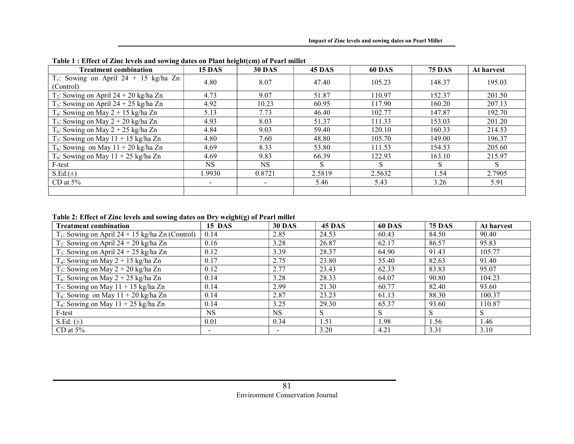| <b>Treatment combination</b>                          | <b>15 DAS</b> | $\bullet$ $\bullet$<br><b>30 DAS</b> | <b>45 DAS</b> | <b>60 DAS</b> | <b>75 DAS</b> | At harvest |
|-------------------------------------------------------|---------------|--------------------------------------|---------------|---------------|---------------|------------|
| $T_1$ : Sowing on April 24 + 15 kg/ha Zn<br>(Control) | 4.80          | 8.07                                 | 47.40         | 105.23        | 148.37        | 195.03     |
| $T_2$ : Sowing on April 24 + 20 kg/ha Zn              | 4.73          | 9.07                                 | 51.87         | 110.97        | 152.37        | 201.50     |
| $T_3$ : Sowing on April 24 + 25 kg/ha Zn              | 4.92          | 10.23                                | 60.95         | 117.90        | 160.20        | 207.13     |
| $T_4$ : Sowing on May 2 + 15 kg/ha Zn                 | 5.13          | 7.73                                 | 46.40         | 102.77        | 147.87        | 192.70     |
| $T_5$ : Sowing on May 2 + 20 kg/ha Zn                 | 4.93          | 8.03                                 | 51.37         | 111.33        | 153.03        | 201.20     |
| $T_6$ : Sowing on May 2 + 25 kg/ha Zn                 | 4.84          | 9.03                                 | 59.40         | 120.10        | 160.33        | 214.53     |
| $T_7$ : Sowing on May 11 + 15 kg/ha Zn                | 4.80          | 7.60                                 | 48.80         | 105.70        | 149.00        | 196.37     |
| $T_8$ : Sowing on May 11 + 20 kg/ha Zn                | 4.69          | 8.33                                 | 53.80         | 111.53        | 154.53        | 205.60     |
| $T_9$ : Sowing on May 11 + 25 kg/ha Zn                | 4.69          | 9.83                                 | 66.39         | 122.93        | 163.10        | 215.97     |
| F-test                                                | <b>NS</b>     | <b>NS</b>                            | S             | S             | S             | S          |
| $S.Ed.(\pm)$                                          | 1.9930        | 0.8721                               | 2.5819        | 2.5632        | 1.54          | 2.7905     |
| CD at $5\%$                                           | $\sim$        | -                                    | 5.46          | 5.43          | 3.26          | 5.91       |
|                                                       |               |                                      |               |               |               |            |

|  | Table 1 : Effect of Zinc levels and sowing dates on Plant height(cm) of Pearl millet |  |  |  |  |
|--|--------------------------------------------------------------------------------------|--|--|--|--|
|  |                                                                                      |  |  |  |  |

# Table 2: Effect of Zinc levels and sowing dates on Dry weight(g) of Pearl millet

| <b>Treatment combination</b>                       | <b>15 DAS</b> | <b>30 DAS</b> | <b>45 DAS</b> | <b>60 DAS</b> | <b>75 DAS</b> | At harvest |
|----------------------------------------------------|---------------|---------------|---------------|---------------|---------------|------------|
| $T_1$ : Sowing on April 24 + 15 kg/ha Zn (Control) | 0.14          | 2.85          | 24.53         | 60.43         | 84.50         | 90.40      |
| $T_2$ : Sowing on April 24 + 20 kg/ha Zn           | 0.16          | 3.28          | 26.87         | 62.17         | 86.57         | 95.83      |
| $T_3$ : Sowing on April 24 + 25 kg/ha Zn           | 0.12          | 3.39          | 28.37         | 64.90         | 91.43         | 105.77     |
| $T_4$ : Sowing on May 2 + 15 kg/ha Zn              | 0.17          | 2.75          | 23.80         | 55.40         | 82.63         | 91.40      |
| $T_5$ : Sowing on May 2 + 20 kg/ha Zn              | 0.12          | 2.77          | 23.43         | 62.33         | 83.83         | 95.07      |
| $T_6$ : Sowing on May 2 + 25 kg/ha Zn              | 0.14          | 3.28          | 28.33         | 64.07         | 90.80         | 104.23     |
| $T_7$ : Sowing on May 11 + 15 kg/ha Zn             | 0.14          | 2.99          | 21.30         | 60.77         | 82.40         | 93.60      |
| $T_8$ : Sowing on May 11 + 20 kg/ha Zn             | 0.14          | 2.87          | 23.23         | 61.13         | 88.30         | 100.37     |
| $T_9$ : Sowing on May 11 + 25 kg/ha Zn             | 0.14          | 3.25          | 29.30         | 65.37         | 93.60         | 110.87     |
| F-test                                             | <b>NS</b>     | <b>NS</b>     | S             | S             |               | S          |
| S.Ed. $(\pm)$                                      | 0.01          | 0.34          | 1.51          | 1.98          | 1.56          | 1.46       |
| CD at $5\%$                                        |               |               | 3.20          | 4.21          | 3.31          | 3.10       |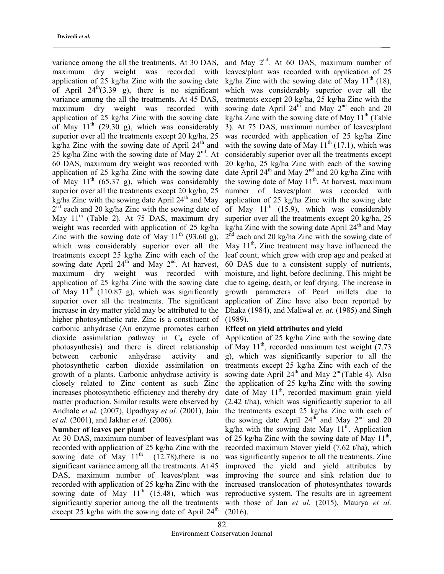variance among the all the treatments. At 30 DAS, maximum dry weight was recorded with application of 25 kg/ha Zinc with the sowing date of April  $24^{\text{th}}(3.39 \text{ g})$ , there is no significant variance among the all the treatments. At 45 DAS, maximum dry weight was recorded with application of 25 kg/ha Zinc with the sowing date of May  $11<sup>th</sup>$  (29.30 g), which was considerably superior over all the treatments except 20 kg/ha, 25 kg/ha Zinc with the sowing date of April  $24<sup>th</sup>$  and 25 kg/ha Zinc with the sowing date of May  $2<sup>nd</sup>$ . At 60 DAS, maximum dry weight was recorded with application of 25 kg/ha Zinc with the sowing date of May  $11^{th}$  (65.37 g), which was considerably superior over all the treatments except 20 kg/ha, 25 kg/ha Zinc with the sowing date April  $24<sup>th</sup>$  and May  $2<sup>nd</sup>$  each and 20 kg/ha Zinc with the sowing date of May 11<sup>th</sup> (Table 2). At 75 DAS, maximum dry weight was recorded with application of 25 kg/ha Zinc with the sowing date of May  $11<sup>th</sup>$  (93.60 g), which was considerably superior over all the treatments except 25 kg/ha Zinc with each of the sowing date April  $24^{th}$  and May  $2^{nd}$ . At harvest, maximum dry weight was recorded with application of 25 kg/ha Zinc with the sowing date of May  $11<sup>th</sup>$  (110.87 g), which was significantly superior over all the treatments. The significant increase in dry matter yield may be attributed to the higher photosynthetic rate. Zinc is a constituent of carbonic anhydrase (An enzyme promotes carbon dioxide assimilation pathway in  $C_4$  cycle of photosynthesis) and there is direct relationship between carbonic anhydrase activity and photosynthetic carbon dioxide assimilation on growth of a plants. Carbonic anhydrase activity is closely related to Zinc content as such Zinc increases photosynthetic efficiency and thereby dry matter production. Similar results were observed by Andhale et al. (2007), Upadhyay et al. (2001), Jain et al. (2001), and Jakhar et al. (2006).

# Number of leaves per plant

At 30 DAS, maximum number of leaves/plant was recorded with application of 25 kg/ha Zinc with the sowing date of May  $11<sup>th</sup>$  (12.78), there is no significant variance among all the treatments. At 45 DAS, maximum number of leaves/plant was recorded with application of 25 kg/ha Zinc with the sowing date of May  $11<sup>th</sup>$  (15.48), which was significantly superior among the all the treatments except 25 kg/ha with the sowing date of April  $24<sup>th</sup>$ 

and May  $2^{nd}$ . At 60 DAS, maximum number of leaves/plant was recorded with application of 25 kg/ha Zinc with the sowing date of May  $11^{th}$  (18), which was considerably superior over all the treatments except 20 kg/ha, 25 kg/ha Zinc with the sowing date April  $24^{th}$  and May  $2^{nd}$  each and 20 kg/ha Zinc with the sowing date of May  $11<sup>th</sup>$  (Table 3). At 75 DAS, maximum number of leaves/plant was recorded with application of 25 kg/ha Zinc with the sowing date of May  $11^{th}$  (17.1), which was considerably superior over all the treatments except 20 kg/ha, 25 kg/ha Zinc with each of the sowing date April  $24^{th}$  and May  $2^{nd}$  and 20 kg/ha Zinc with the sowing date of May  $11<sup>th</sup>$ . At harvest, maximum number of leaves/plant was recorded with application of 25 kg/ha Zinc with the sowing date of May  $11<sup>th</sup>$  (15.9), which was considerably superior over all the treatments except 20 kg/ha, 25 kg/ha Zinc with the sowing date April  $24<sup>th</sup>$  and May 2<sup>nd</sup> each and 20 kg/ha Zinc with the sowing date of May 11<sup>th</sup>. Zinc treatment may have influenced the leaf count, which grew with crop age and peaked at 60 DAS due to a consistent supply of nutrients, moisture, and light, before declining. This might be due to ageing, death, or leaf drying. The increase in growth parameters of Pearl millets due to application of Zinc have also been reported by Dhaka (1984), and Maliwal et. at. (1985) and Singh (1989).

#### Effect on yield attributes and yield

Application of 25 kg/ha Zinc with the sowing date of May  $11^{th}$ , recorded maximum test weight (7.73) g), which was significantly superior to all the treatments except 25 kg/ha Zinc with each of the sowing date April  $24<sup>th</sup>$  and May  $2<sup>nd</sup>(Table 4)$ . Also the application of 25 kg/ha Zinc with the sowing date of May  $11<sup>th</sup>$ , recorded maximum grain yield (2.42 t/ha), which was significantly superior to all the treatments except 25 kg/ha Zinc with each of the sowing date April  $24<sup>th</sup>$  and May  $2<sup>nd</sup>$  and 20 kg/ha with the sowing date May  $11<sup>th</sup>$ . Application of 25 kg/ha Zinc with the sowing date of May  $11^{th}$ , recorded maximum Stover yield (7.62 t/ha), which was significantly superior to all the treatments. Zinc improved the yield and yield attributes by improving the source and sink relation due to increased translocation of photosynthates towards reproductive system. The results are in agreement with those of Jan et al. (2015), Maurya et al. (2016).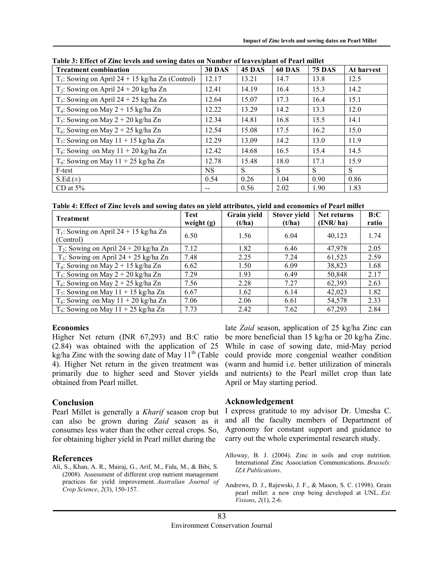| <b>Treatment combination</b>                       | <b>30 DAS</b> | <b>45 DAS</b> | <b>60 DAS</b> | <b>75 DAS</b> | At harvest |
|----------------------------------------------------|---------------|---------------|---------------|---------------|------------|
| $T_1$ : Sowing on April 24 + 15 kg/ha Zn (Control) | 12.17         | 13.21         | 14.7          | 13.8          | 12.5       |
| $T_2$ : Sowing on April 24 + 20 kg/ha Zn           | 12.41         | 14.19         | 16.4          | 15.3          | 14.2       |
| $T_3$ : Sowing on April 24 + 25 kg/ha Zn           | 12.64         | 15.07         | 17.3          | 16.4          | 15.1       |
| $T_4$ : Sowing on May 2 + 15 kg/ha Zn              | 12.22         | 13.29         | 14.2          | 13.3          | 12.0       |
| $T_5$ : Sowing on May 2 + 20 kg/ha Zn              | 12.34         | 14.81         | 16.8          | 15.5          | 14.1       |
| $T_6$ : Sowing on May 2 + 25 kg/ha Zn              | 12.54         | 15.08         | 17.5          | 16.2          | 15.0       |
| $T_7$ : Sowing on May 11 + 15 kg/ha Zn             | 12.29         | 13.09         | 14.2          | 13.0          | 11.9       |
| $T_8$ : Sowing on May 11 + 20 kg/ha Zn             | 12.42         | 14.68         | 16.5          | 15.4          | 14.5       |
| $T_9$ : Sowing on May 11 + 25 kg/ha Zn             | 12.78         | 15.48         | 18.0          | 17.1          | 15.9       |
| F-test                                             | <b>NS</b>     | S             | S             | S             | S          |
| $S.Ed.(\pm)$                                       | 0.54          | 0.26          | 1.04          | 0.90          | 0.86       |
| CD at $5\%$                                        | --            | 0.56          | 2.02          | 1.90          | 1.83       |

Table 3: Effect of Zinc levels and sowing dates on Number of leaves/plant of Pearl millet

Table 4: Effect of Zinc levels and sowing dates on yield attributes, yield and economics of Pearl millet

| <b>Treatment</b>                                      | <b>Test</b><br>weight $(g)$ | Grain yield<br>(t/ha) | Stover yield<br>(t/ha) | Net returns<br>(INR/ha) | B:C<br>ratio |
|-------------------------------------------------------|-----------------------------|-----------------------|------------------------|-------------------------|--------------|
| $T_1$ : Sowing on April 24 + 15 kg/ha Zn<br>(Control) | 6.50                        | 1.56                  | 6.04                   | 40,123                  | 1.74         |
| $T_2$ : Sowing on April 24 + 20 kg/ha Zn              | 7.12                        | 1.82                  | 6.46                   | 47,978                  | 2.05         |
| $T_3$ : Sowing on April 24 + 25 kg/ha Zn              | 7.48                        | 2.25                  | 7.24                   | 61,523                  | 2.59         |
| $T_4$ : Sowing on May 2 + 15 kg/ha Zn                 | 6.62                        | 1.50                  | 6.09                   | 38,823                  | 1.68         |
| $T_5$ : Sowing on May 2 + 20 kg/ha Zn                 | 7.29                        | 1.93                  | 6.49                   | 50,848                  | 2.17         |
| $T_6$ : Sowing on May 2 + 25 kg/ha Zn                 | 7.56                        | 2.28                  | 7.27                   | 62,393                  | 2.63         |
| $T_7$ : Sowing on May 11 + 15 kg/ha Zn                | 6.67                        | 1.62                  | 6.14                   | 42,023                  | 1.82         |
| $T_8$ : Sowing on May 11 + 20 kg/ha Zn                | 7.06                        | 2.06                  | 6.61                   | 54,578                  | 2.33         |
| $T_9$ : Sowing on May 11 + 25 kg/ha Zn                | 7.73                        | 2.42                  | 7.62                   | 67,293                  | 2.84         |

# Economics

Higher Net return (INR 67,293) and B:C ratio (2.84) was obtained with the application of 25 kg/ha Zinc with the sowing date of May  $11<sup>th</sup>$  (Table 4). Higher Net return in the given treatment was primarily due to higher seed and Stover yields obtained from Pearl millet.

# Conclusion

Pearl Millet is generally a Kharif season crop but can also be grown during Zaid season as it consumes less water than the other cereal crops. So, for obtaining higher yield in Pearl millet during the

# References

Ali, S., Khan, A. R., Mairaj, G., Arif, M., Fida, M., & Bibi, S. (2008). Assessment of different crop nutrient management practices for yield improvement. Australian Journal of Crop Science, 2(3), 150-157.

late Zaid season, application of 25 kg/ha Zinc can be more beneficial than 15 kg/ha or 20 kg/ha Zinc. While in case of sowing date, mid-May period could provide more congenial weather condition (warm and humid i.e. better utilization of minerals and nutrients) to the Pearl millet crop than late April or May starting period.

# Acknowledgement

I express gratitude to my advisor Dr. Umesha C. and all the faculty members of Department of Agronomy for constant support and guidance to carry out the whole experimental research study.

- Alloway, B. J. (2004). Zinc in soils and crop nutrition. International Zinc Association Communications. Brussels: IZA Publications.
- Andrews, D. J., Rajewski, J. F., & Mason, S. C. (1998). Grain pearl millet: a new crop being developed at UNL. Ext. Visions, 2(1), 2-6.